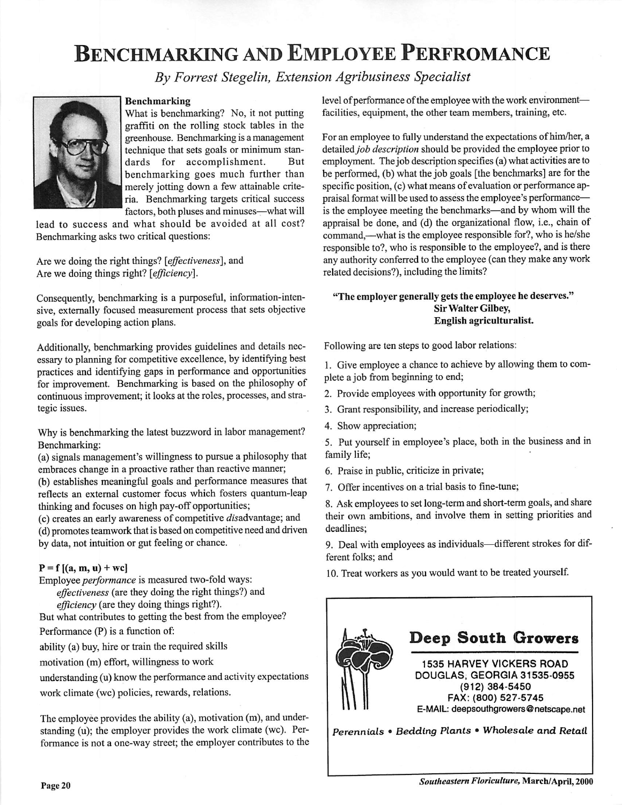# BENCHMARKING AND EMPLOYEE PERFROMANCE

**By ForrestStegelin, Extension Agribusiness Specialist**



### Benchmarking

What is benchmarking? No, it not putting graffiti on the rolling stock tables in the greenhouse. Benchmarking is a management technique that sets goals or minimum stan dards for accomplishment. But benchmarking goes much further than merely jotting down a few attainable crite ria. Benchmarking targets critical success factors, both pluses and minuses—what will

lead to success and what should be avoided at all cost? Benchmarking asks two critical questions:

Are we doing the right things? **[effectiveness],** and Are we doing things right? **[efficiency].**

Consequently, benchmarking is a purposeful, information-inten sive, externally focused measurement process that sets objective goals for developing action plans.

Additionally, benchmarking provides guidelines and details nec essary to planning for competitive excellence, by identifying best practices and identifying gaps in performance and opportunities for improvement. Benchmarking is based on the philosophy of continuous improvement; it looks at the roles, processes, and stra tegic issues.

Why is benchmarking the latest buzzword in labor management? Benchmarking:

(a) signals management's willingness to pursue a philosophy that embraces change in a proactive rather than reactive manner;

(b) establishes meaningful goals and performance measures that reflects an external customer focus which fosters quantum-leap thinking and focuses on high pay-off opportunities;

 $(c)$  creates an early awareness of competitive  $disadvantage$ ; and (d) promotes teamwork that is based on competitive need and driven by data, not intuition or gut feeling or chance. .

## $P = f [(a, m, u) + wc]$

Employee **performance** is measured two-fold ways:

**effectiveness** (are they doing the right things?) and **efficiency**(are they doing things right?).

But what contributes to getting the best from the employee? Performance (P) is a function of:

ability (a) buy, hire or train the required skills

motivation (m) effort, willingness to work

understanding (u) know the performance and activity expectations work climate (wc) policies, rewards, relations.

The employee provides the ability (a), motivation (m), and understanding (u); the employer provides the work climate (wc). Per formance is not a one-way street; the employer contributes to the level of performance of the employee with the work environmentfacilities, equipment, the other team members, training, etc.

For an employee to fully understand the expectations of him/her, a detailed job description should be provided the employee prior to employment. The job description specifies (a) what activities are to be performed, (b) what the job goals [the benchmarks] are for the specific position, (c) what means of evaluation or performance appraisal format will be used to assess the employee's performance is the employee meeting the benchmarks—and by whom will the appraisal be done, and (d) the organizational flow, i.e., chain of command,—what is the employee responsible for?, who is he/she responsible to?, who is responsible to the employee?, and is there any authority conferred to the employee (can they make any work related decisions?), including the limits?

### "The employer generally gets the employee he deserves." SirWalter Gilbey, English agriculturalist.

Following are ten steps to good labor relations:

1. Give employee a chance to achieve by allowing them to com plete a job from beginning to end;

2. Provide employees with opportunity for growth;

- 3. Grant responsibility, and increase periodically;
- 4. Show appreciation;

5. Put yourself in employee's place, both in the business and in family life;

- 6. Praise in public, criticize in private;
- 7. Offer incentives on a trial basis to fine-tune;

8. Ask employees to set long-term and short-term goals, and share their own ambitions, and involve them in setting priorities and deadlines;

9. Deal with employees as individuals-different strokes for different folks; and

10. Treat workers as you would want to be treated yourself.



**SoutheasternFloriculture,** March/April, 2000